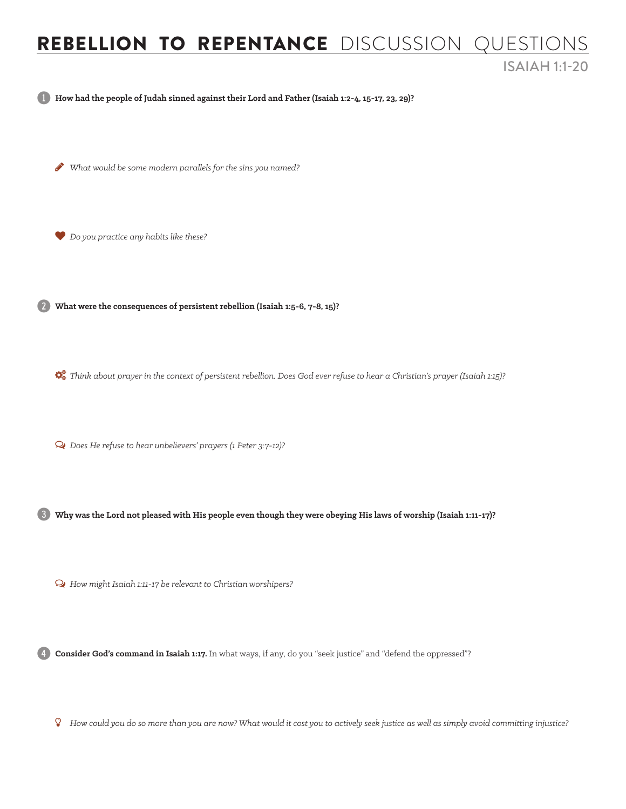## ReBELLION TO REPENTANCE DISCUSSION QUESTIONS ISAIAH 1:1-20

1 **How had the people of Judah sinned against their Lord and Father (Isaiah 1:2-4, 15-17, 23, 29)?** 

H *What would be some modern parallels for the sins you named?*

*Do you practice any habits like these?*

2 **What were the consequences of persistent rebellion (Isaiah 1:5-6, 7-8, 15)?** 

*Think about prayer in the context of persistent rebellion. Does God ever refuse to hear a Christian's prayer (Isaiah 1:15)?* 

Ø *Does He refuse to hear unbelievers' prayers (1 Peter 3:7-12)?*

3 **Why was the Lord not pleased with His people even though they were obeying His laws of worship (Isaiah 1:11-17)?** 

Ø *How might Isaiah 1:11-17 be relevant to Christian worshipers?*

4 **Consider God's command in Isaiah 1:17.** In what ways, if any, do you "seek justice" and "defend the oppressed"?

Ý *How could you do so more than you are now? What would it cost you to actively seek justice as well as simply avoid committing injustice?*